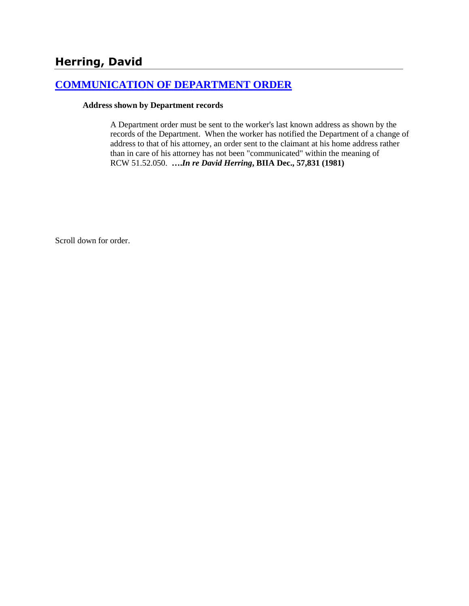# **Herring, David**

### **[COMMUNICATION OF DEPARTMENT ORDER](http://www.biia.wa.gov/SDSubjectIndex.html#COMMUNICATION_OF_DEPARTMENT_ORDER)**

#### **Address shown by Department records**

A Department order must be sent to the worker's last known address as shown by the records of the Department. When the worker has notified the Department of a change of address to that of his attorney, an order sent to the claimant at his home address rather than in care of his attorney has not been "communicated" within the meaning of RCW 51.52.050. **….***In re David Herring***, BIIA Dec., 57,831 (1981)** 

Scroll down for order.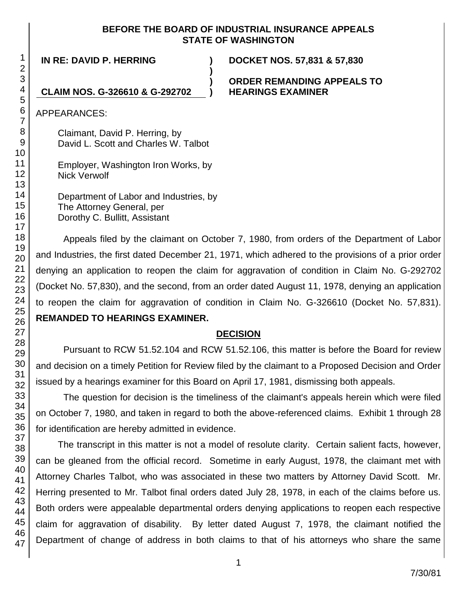### **BEFORE THE BOARD OF INDUSTRIAL INSURANCE APPEALS STATE OF WASHINGTON**

**)**

**IN RE: DAVID P. HERRING ) DOCKET NOS. 57,831 & 57,830**

**) ORDER REMANDING APPEALS TO**

**CLAIM NOS. G-326610 & G-292702 ) HEARINGS EXAMINER**

APPEARANCES:

Claimant, David P. Herring, by David L. Scott and Charles W. Talbot

Employer, Washington Iron Works, by Nick Verwolf

Department of Labor and Industries, by The Attorney General, per Dorothy C. Bullitt, Assistant

Appeals filed by the claimant on October 7, 1980, from orders of the Department of Labor and Industries, the first dated December 21, 1971, which adhered to the provisions of a prior order denying an application to reopen the claim for aggravation of condition in Claim No. G-292702 (Docket No. 57,830), and the second, from an order dated August 11, 1978, denying an application to reopen the claim for aggravation of condition in Claim No. G-326610 (Docket No. 57,831). **REMANDED TO HEARINGS EXAMINER.**

## **DECISION**

Pursuant to RCW 51.52.104 and RCW 51.52.106, this matter is before the Board for review and decision on a timely Petition for Review filed by the claimant to a Proposed Decision and Order issued by a hearings examiner for this Board on April 17, 1981, dismissing both appeals.

The question for decision is the timeliness of the claimant's appeals herein which were filed on October 7, 1980, and taken in regard to both the above-referenced claims. Exhibit 1 through 28 for identification are hereby admitted in evidence.

The transcript in this matter is not a model of resolute clarity. Certain salient facts, however, can be gleaned from the official record. Sometime in early August, 1978, the claimant met with Attorney Charles Talbot, who was associated in these two matters by Attorney David Scott. Mr. Herring presented to Mr. Talbot final orders dated July 28, 1978, in each of the claims before us. Both orders were appealable departmental orders denying applications to reopen each respective claim for aggravation of disability. By letter dated August 7, 1978, the claimant notified the Department of change of address in both claims to that of his attorneys who share the same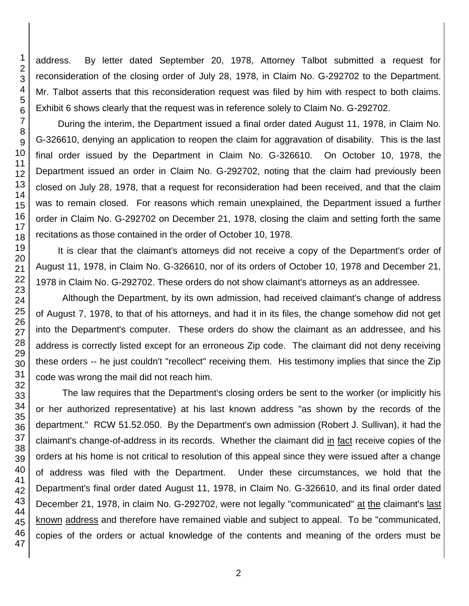address. By letter dated September 20, 1978, Attorney Talbot submitted a request for reconsideration of the closing order of July 28, 1978, in Claim No. G-292702 to the Department. Mr. Talbot asserts that this reconsideration request was filed by him with respect to both claims. Exhibit 6 shows clearly that the request was in reference solely to Claim No. G-292702.

During the interim, the Department issued a final order dated August 11, 1978, in Claim No. G-326610, denying an application to reopen the claim for aggravation of disability. This is the last final order issued by the Department in Claim No. G-326610. On October 10, 1978, the Department issued an order in Claim No. G-292702, noting that the claim had previously been closed on July 28, 1978, that a request for reconsideration had been received, and that the claim was to remain closed. For reasons which remain unexplained, the Department issued a further order in Claim No. G-292702 on December 21, 1978, closing the claim and setting forth the same recitations as those contained in the order of October 10, 1978.

It is clear that the claimant's attorneys did not receive a copy of the Department's order of August 11, 1978, in Claim No. G-326610, nor of its orders of October 10, 1978 and December 21, 1978 in Claim No. G-292702. These orders do not show claimant's attorneys as an addressee.

Although the Department, by its own admission, had received claimant's change of address of August 7, 1978, to that of his attorneys, and had it in its files, the change somehow did not get into the Department's computer. These orders do show the claimant as an addressee, and his address is correctly listed except for an erroneous Zip code. The claimant did not deny receiving these orders -- he just couldn't "recollect" receiving them. His testimony implies that since the Zip code was wrong the mail did not reach him.

The law requires that the Department's closing orders be sent to the worker (or implicitly his or her authorized representative) at his last known address "as shown by the records of the department." RCW 51.52.050. By the Department's own admission (Robert J. Sullivan), it had the claimant's change-of-address in its records. Whether the claimant did in fact receive copies of the orders at his home is not critical to resolution of this appeal since they were issued after a change of address was filed with the Department. Under these circumstances, we hold that the Department's final order dated August 11, 1978, in Claim No. G-326610, and its final order dated December 21, 1978, in claim No. G-292702, were not legally "communicated" at the claimant's last known address and therefore have remained viable and subject to appeal. To be "communicated, copies of the orders or actual knowledge of the contents and meaning of the orders must be